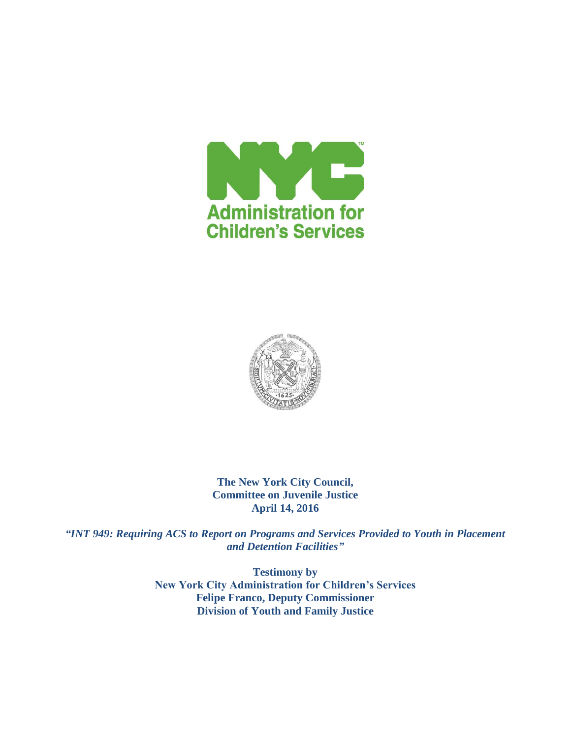



**The New York City Council, Committee on Juvenile Justice April 14, 2016**

*"INT 949: Requiring ACS to Report on Programs and Services Provided to Youth in Placement and Detention Facilities"*

> **Testimony by New York City Administration for Children's Services Felipe Franco, Deputy Commissioner Division of Youth and Family Justice**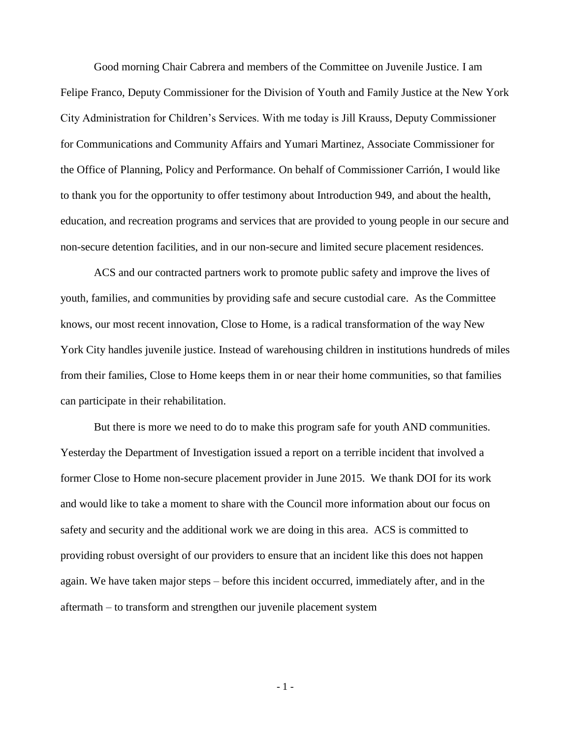Good morning Chair Cabrera and members of the Committee on Juvenile Justice. I am Felipe Franco, Deputy Commissioner for the Division of Youth and Family Justice at the New York City Administration for Children's Services. With me today is Jill Krauss, Deputy Commissioner for Communications and Community Affairs and Yumari Martinez, Associate Commissioner for the Office of Planning, Policy and Performance. On behalf of Commissioner Carrión, I would like to thank you for the opportunity to offer testimony about Introduction 949, and about the health, education, and recreation programs and services that are provided to young people in our secure and non-secure detention facilities, and in our non-secure and limited secure placement residences.

ACS and our contracted partners work to promote public safety and improve the lives of youth, families, and communities by providing safe and secure custodial care. As the Committee knows, our most recent innovation, Close to Home, is a radical transformation of the way New York City handles juvenile justice. Instead of warehousing children in institutions hundreds of miles from their families, Close to Home keeps them in or near their home communities, so that families can participate in their rehabilitation.

But there is more we need to do to make this program safe for youth AND communities. Yesterday the Department of Investigation issued a report on a terrible incident that involved a former Close to Home non-secure placement provider in June 2015. We thank DOI for its work and would like to take a moment to share with the Council more information about our focus on safety and security and the additional work we are doing in this area. ACS is committed to providing robust oversight of our providers to ensure that an incident like this does not happen again. We have taken major steps – before this incident occurred, immediately after, and in the aftermath – to transform and strengthen our juvenile placement system

- 1 -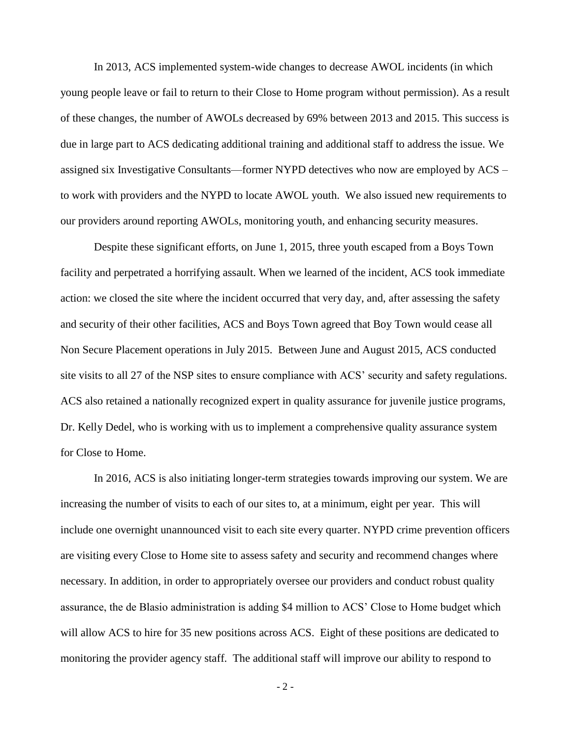In 2013, ACS implemented system-wide changes to decrease AWOL incidents (in which young people leave or fail to return to their Close to Home program without permission). As a result of these changes, the number of AWOLs decreased by 69% between 2013 and 2015. This success is due in large part to ACS dedicating additional training and additional staff to address the issue. We assigned six Investigative Consultants—former NYPD detectives who now are employed by ACS – to work with providers and the NYPD to locate AWOL youth. We also issued new requirements to our providers around reporting AWOLs, monitoring youth, and enhancing security measures.

Despite these significant efforts, on June 1, 2015, three youth escaped from a Boys Town facility and perpetrated a horrifying assault. When we learned of the incident, ACS took immediate action: we closed the site where the incident occurred that very day, and, after assessing the safety and security of their other facilities, ACS and Boys Town agreed that Boy Town would cease all Non Secure Placement operations in July 2015. Between June and August 2015, ACS conducted site visits to all 27 of the NSP sites to ensure compliance with ACS' security and safety regulations. ACS also retained a nationally recognized expert in quality assurance for juvenile justice programs, Dr. Kelly Dedel, who is working with us to implement a comprehensive quality assurance system for Close to Home.

In 2016, ACS is also initiating longer-term strategies towards improving our system. We are increasing the number of visits to each of our sites to, at a minimum, eight per year. This will include one overnight unannounced visit to each site every quarter. NYPD crime prevention officers are visiting every Close to Home site to assess safety and security and recommend changes where necessary. In addition, in order to appropriately oversee our providers and conduct robust quality assurance, the de Blasio administration is adding \$4 million to ACS' Close to Home budget which will allow ACS to hire for 35 new positions across ACS. Eight of these positions are dedicated to monitoring the provider agency staff. The additional staff will improve our ability to respond to

- 2 -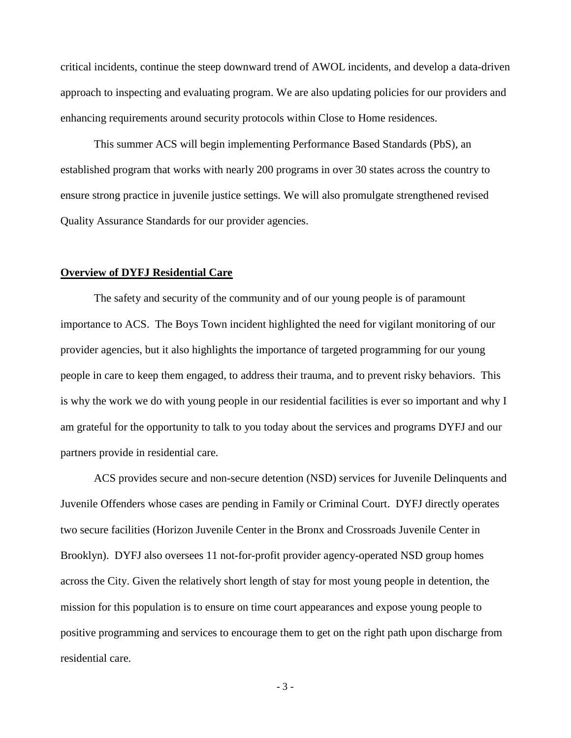critical incidents, continue the steep downward trend of AWOL incidents, and develop a data-driven approach to inspecting and evaluating program. We are also updating policies for our providers and enhancing requirements around security protocols within Close to Home residences.

This summer ACS will begin implementing Performance Based Standards (PbS), an established program that works with nearly 200 programs in over 30 states across the country to ensure strong practice in juvenile justice settings. We will also promulgate strengthened revised Quality Assurance Standards for our provider agencies.

# **Overview of DYFJ Residential Care**

The safety and security of the community and of our young people is of paramount importance to ACS. The Boys Town incident highlighted the need for vigilant monitoring of our provider agencies, but it also highlights the importance of targeted programming for our young people in care to keep them engaged, to address their trauma, and to prevent risky behaviors. This is why the work we do with young people in our residential facilities is ever so important and why I am grateful for the opportunity to talk to you today about the services and programs DYFJ and our partners provide in residential care.

ACS provides secure and non-secure detention (NSD) services for Juvenile Delinquents and Juvenile Offenders whose cases are pending in Family or Criminal Court. DYFJ directly operates two secure facilities (Horizon Juvenile Center in the Bronx and Crossroads Juvenile Center in Brooklyn). DYFJ also oversees 11 not-for-profit provider agency-operated NSD group homes across the City. Given the relatively short length of stay for most young people in detention, the mission for this population is to ensure on time court appearances and expose young people to positive programming and services to encourage them to get on the right path upon discharge from residential care.

- 3 -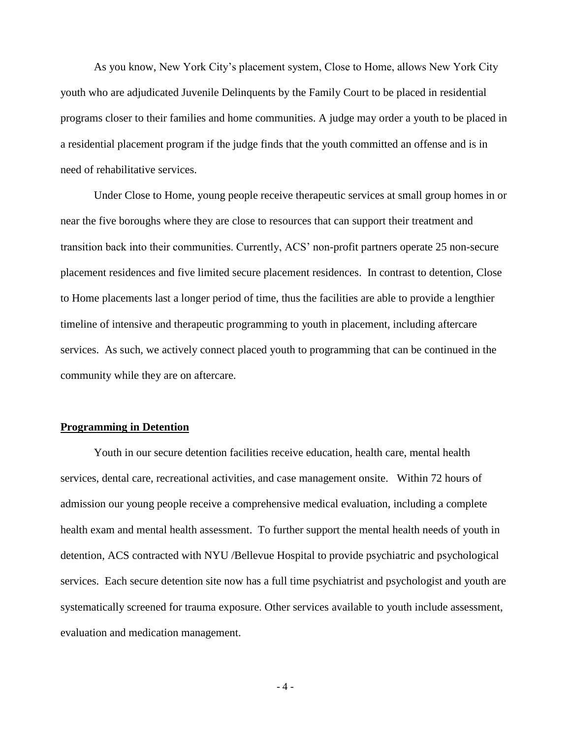As you know, New York City's placement system, Close to Home, allows New York City youth who are adjudicated Juvenile Delinquents by the Family Court to be placed in residential programs closer to their families and home communities. A judge may order a youth to be placed in a residential placement program if the judge finds that the youth committed an offense and is in need of rehabilitative services.

Under Close to Home, young people receive therapeutic services at small group homes in or near the five boroughs where they are close to resources that can support their treatment and transition back into their communities. Currently, ACS' non-profit partners operate 25 non-secure placement residences and five limited secure placement residences. In contrast to detention, Close to Home placements last a longer period of time, thus the facilities are able to provide a lengthier timeline of intensive and therapeutic programming to youth in placement, including aftercare services. As such, we actively connect placed youth to programming that can be continued in the community while they are on aftercare.

## **Programming in Detention**

Youth in our secure detention facilities receive education, health care, mental health services, dental care, recreational activities, and case management onsite. Within 72 hours of admission our young people receive a comprehensive medical evaluation, including a complete health exam and mental health assessment. To further support the mental health needs of youth in detention, ACS contracted with NYU /Bellevue Hospital to provide psychiatric and psychological services. Each secure detention site now has a full time psychiatrist and psychologist and youth are systematically screened for trauma exposure. Other services available to youth include assessment, evaluation and medication management.

- 4 -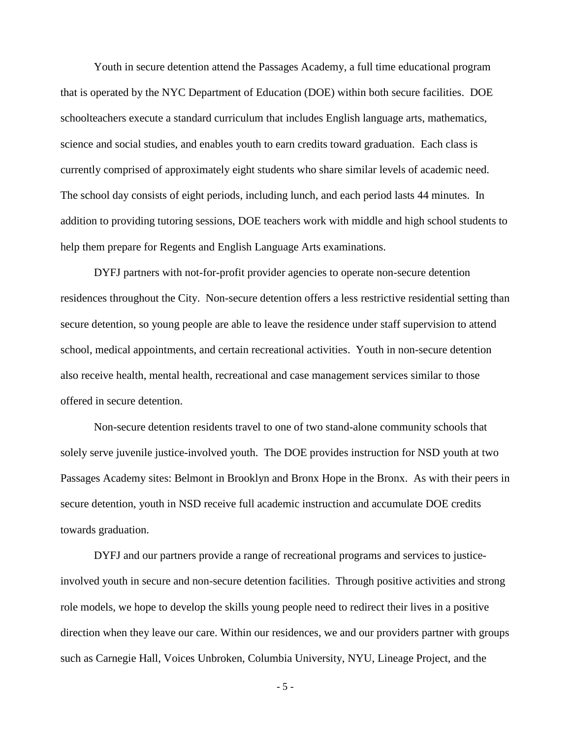Youth in secure detention attend the Passages Academy, a full time educational program that is operated by the NYC Department of Education (DOE) within both secure facilities. DOE schoolteachers execute a standard curriculum that includes English language arts, mathematics, science and social studies, and enables youth to earn credits toward graduation. Each class is currently comprised of approximately eight students who share similar levels of academic need. The school day consists of eight periods, including lunch, and each period lasts 44 minutes. In addition to providing tutoring sessions, DOE teachers work with middle and high school students to help them prepare for Regents and English Language Arts examinations.

DYFJ partners with not-for-profit provider agencies to operate non-secure detention residences throughout the City. Non-secure detention offers a less restrictive residential setting than secure detention, so young people are able to leave the residence under staff supervision to attend school, medical appointments, and certain recreational activities. Youth in non-secure detention also receive health, mental health, recreational and case management services similar to those offered in secure detention.

Non-secure detention residents travel to one of two stand-alone community schools that solely serve juvenile justice-involved youth. The DOE provides instruction for NSD youth at two Passages Academy sites: Belmont in Brooklyn and Bronx Hope in the Bronx. As with their peers in secure detention, youth in NSD receive full academic instruction and accumulate DOE credits towards graduation.

DYFJ and our partners provide a range of recreational programs and services to justiceinvolved youth in secure and non-secure detention facilities. Through positive activities and strong role models, we hope to develop the skills young people need to redirect their lives in a positive direction when they leave our care. Within our residences, we and our providers partner with groups such as Carnegie Hall, Voices Unbroken, Columbia University, NYU, Lineage Project, and the

- 5 -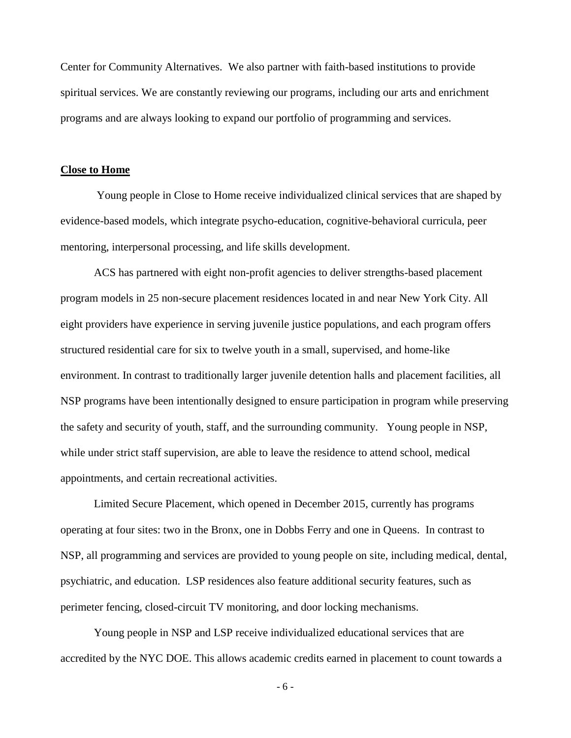Center for Community Alternatives. We also partner with faith-based institutions to provide spiritual services. We are constantly reviewing our programs, including our arts and enrichment programs and are always looking to expand our portfolio of programming and services.

#### **Close to Home**

Young people in Close to Home receive individualized clinical services that are shaped by evidence-based models, which integrate psycho-education, cognitive-behavioral curricula, peer mentoring, interpersonal processing, and life skills development.

ACS has partnered with eight non-profit agencies to deliver strengths-based placement program models in 25 non-secure placement residences located in and near New York City. All eight providers have experience in serving juvenile justice populations, and each program offers structured residential care for six to twelve youth in a small, supervised, and home-like environment. In contrast to traditionally larger juvenile detention halls and placement facilities, all NSP programs have been intentionally designed to ensure participation in program while preserving the safety and security of youth, staff, and the surrounding community. Young people in NSP, while under strict staff supervision, are able to leave the residence to attend school, medical appointments, and certain recreational activities.

Limited Secure Placement, which opened in December 2015, currently has programs operating at four sites: two in the Bronx, one in Dobbs Ferry and one in Queens. In contrast to NSP, all programming and services are provided to young people on site, including medical, dental, psychiatric, and education. LSP residences also feature additional security features, such as perimeter fencing, closed-circuit TV monitoring, and door locking mechanisms.

Young people in NSP and LSP receive individualized educational services that are accredited by the NYC DOE. This allows academic credits earned in placement to count towards a

- 6 -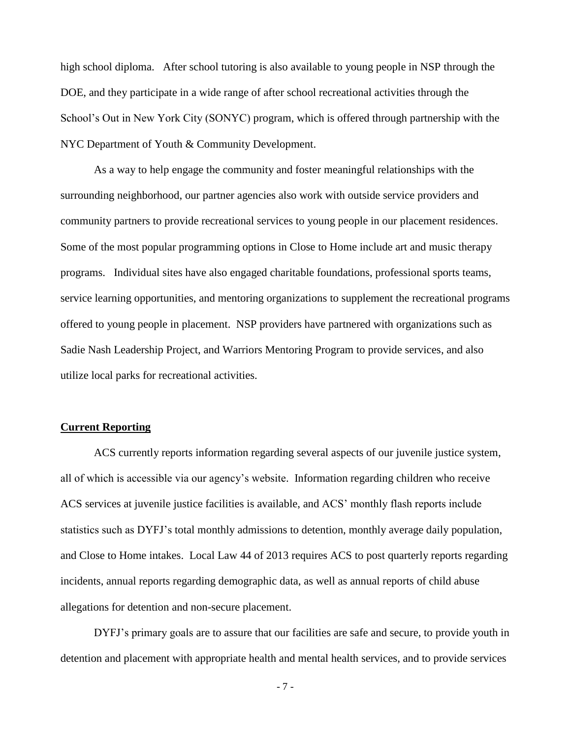high school diploma. After school tutoring is also available to young people in NSP through the DOE, and they participate in a wide range of after school recreational activities through the School's Out in New York City (SONYC) program, which is offered through partnership with the NYC Department of Youth & Community Development.

As a way to help engage the community and foster meaningful relationships with the surrounding neighborhood, our partner agencies also work with outside service providers and community partners to provide recreational services to young people in our placement residences. Some of the most popular programming options in Close to Home include art and music therapy programs. Individual sites have also engaged charitable foundations, professional sports teams, service learning opportunities, and mentoring organizations to supplement the recreational programs offered to young people in placement. NSP providers have partnered with organizations such as Sadie Nash Leadership Project, and Warriors Mentoring Program to provide services, and also utilize local parks for recreational activities.

## **Current Reporting**

ACS currently reports information regarding several aspects of our juvenile justice system, all of which is accessible via our agency's website. Information regarding children who receive ACS services at juvenile justice facilities is available, and ACS' monthly flash reports include statistics such as DYFJ's total monthly admissions to detention, monthly average daily population, and Close to Home intakes. Local Law 44 of 2013 requires ACS to post quarterly reports regarding incidents, annual reports regarding demographic data, as well as annual reports of child abuse allegations for detention and non-secure placement.

DYFJ's primary goals are to assure that our facilities are safe and secure, to provide youth in detention and placement with appropriate health and mental health services, and to provide services

- 7 -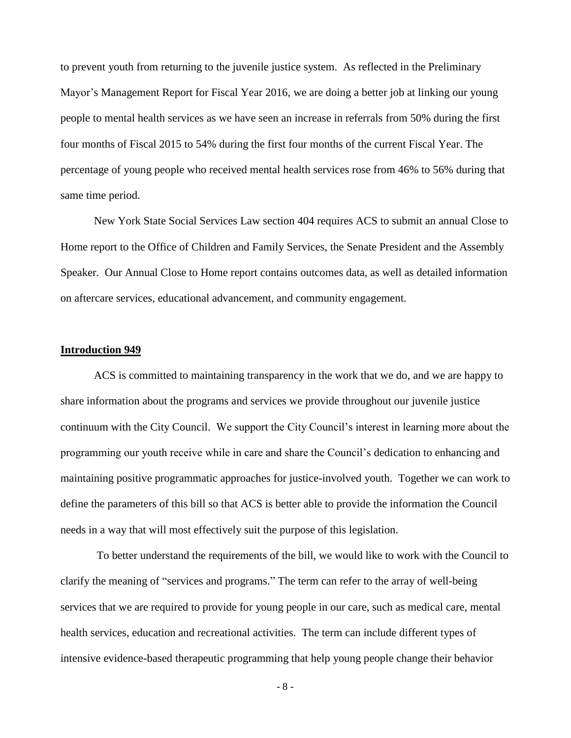to prevent youth from returning to the juvenile justice system. As reflected in the Preliminary Mayor's Management Report for Fiscal Year 2016, we are doing a better job at linking our young people to mental health services as we have seen an increase in referrals from 50% during the first four months of Fiscal 2015 to 54% during the first four months of the current Fiscal Year. The percentage of young people who received mental health services rose from 46% to 56% during that same time period.

New York State Social Services Law section 404 requires ACS to submit an annual Close to Home report to the Office of Children and Family Services, the Senate President and the Assembly Speaker. Our Annual Close to Home report contains outcomes data, as well as detailed information on aftercare services, educational advancement, and community engagement.

#### **Introduction 949**

ACS is committed to maintaining transparency in the work that we do, and we are happy to share information about the programs and services we provide throughout our juvenile justice continuum with the City Council. We support the City Council's interest in learning more about the programming our youth receive while in care and share the Council's dedication to enhancing and maintaining positive programmatic approaches for justice-involved youth. Together we can work to define the parameters of this bill so that ACS is better able to provide the information the Council needs in a way that will most effectively suit the purpose of this legislation.

To better understand the requirements of the bill, we would like to work with the Council to clarify the meaning of "services and programs." The term can refer to the array of well-being services that we are required to provide for young people in our care, such as medical care, mental health services, education and recreational activities. The term can include different types of intensive evidence-based therapeutic programming that help young people change their behavior

- 8 -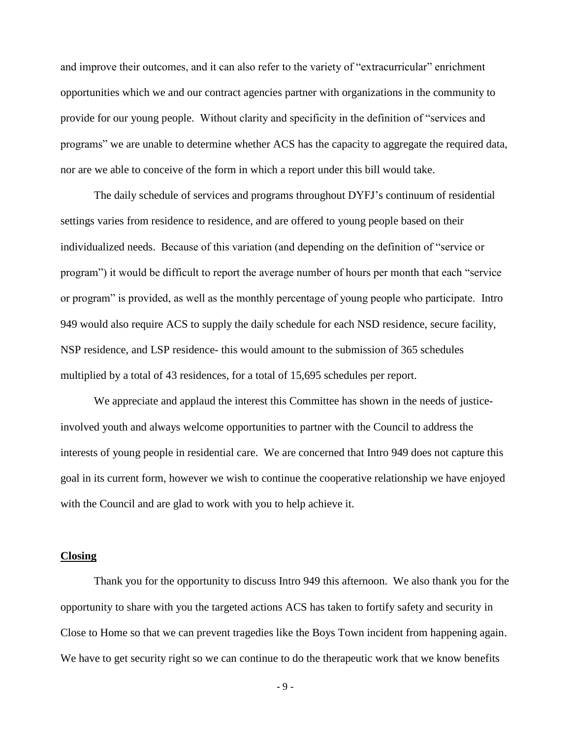and improve their outcomes, and it can also refer to the variety of "extracurricular" enrichment opportunities which we and our contract agencies partner with organizations in the community to provide for our young people. Without clarity and specificity in the definition of "services and programs" we are unable to determine whether ACS has the capacity to aggregate the required data, nor are we able to conceive of the form in which a report under this bill would take.

The daily schedule of services and programs throughout DYFJ's continuum of residential settings varies from residence to residence, and are offered to young people based on their individualized needs. Because of this variation (and depending on the definition of "service or program") it would be difficult to report the average number of hours per month that each "service or program" is provided, as well as the monthly percentage of young people who participate. Intro 949 would also require ACS to supply the daily schedule for each NSD residence, secure facility, NSP residence, and LSP residence- this would amount to the submission of 365 schedules multiplied by a total of 43 residences, for a total of 15,695 schedules per report.

We appreciate and applaud the interest this Committee has shown in the needs of justiceinvolved youth and always welcome opportunities to partner with the Council to address the interests of young people in residential care. We are concerned that Intro 949 does not capture this goal in its current form, however we wish to continue the cooperative relationship we have enjoyed with the Council and are glad to work with you to help achieve it.

### **Closing**

Thank you for the opportunity to discuss Intro 949 this afternoon. We also thank you for the opportunity to share with you the targeted actions ACS has taken to fortify safety and security in Close to Home so that we can prevent tragedies like the Boys Town incident from happening again. We have to get security right so we can continue to do the therapeutic work that we know benefits

- 9 -